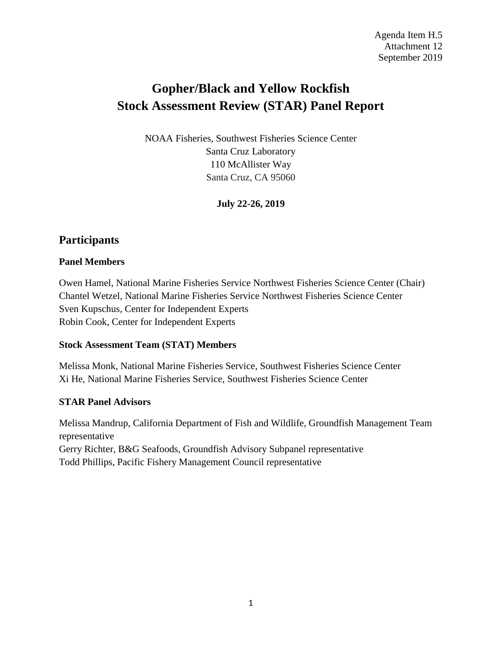# **Gopher/Black and Yellow Rockfish Stock Assessment Review (STAR) Panel Report**

NOAA Fisheries, Southwest Fisheries Science Center Santa Cruz Laboratory 110 McAllister Way Santa Cruz, CA 95060

**July 22-26, 2019**

# **Participants**

#### **Panel Members**

Owen Hamel, National Marine Fisheries Service Northwest Fisheries Science Center (Chair) Chantel Wetzel, National Marine Fisheries Service Northwest Fisheries Science Center Sven Kupschus, Center for Independent Experts Robin Cook, Center for Independent Experts

#### **Stock Assessment Team (STAT) Members**

Melissa Monk, National Marine Fisheries Service, Southwest Fisheries Science Center Xi He, National Marine Fisheries Service, Southwest Fisheries Science Center

#### **STAR Panel Advisors**

Melissa Mandrup, California Department of Fish and Wildlife, Groundfish Management Team representative Gerry Richter, B&G Seafoods, Groundfish Advisory Subpanel representative

Todd Phillips, Pacific Fishery Management Council representative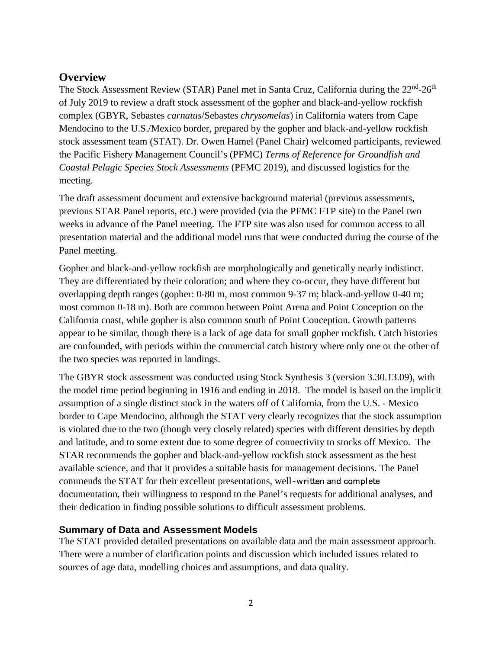## **Overview**

The Stock Assessment Review (STAR) Panel met in Santa Cruz, California during the 22<sup>nd</sup>-26<sup>th</sup> of July 2019 to review a draft stock assessment of the gopher and black-and-yellow rockfish complex (GBYR, Sebastes *carnatus*/Sebastes *chrysomelas*) in California waters from Cape Mendocino to the U.S./Mexico border, prepared by the gopher and black-and-yellow rockfish stock assessment team (STAT). Dr. Owen Hamel (Panel Chair) welcomed participants, reviewed the Pacific Fishery Management Council's (PFMC) *Terms of Reference for Groundfish and Coastal Pelagic Species Stock Assessments* (PFMC 2019), and discussed logistics for the meeting.

The draft assessment document and extensive background material (previous assessments, previous STAR Panel reports, etc.) were provided (via the PFMC FTP site) to the Panel two weeks in advance of the Panel meeting. The FTP site was also used for common access to all presentation material and the additional model runs that were conducted during the course of the Panel meeting.

Gopher and black-and-yellow rockfish are morphologically and genetically nearly indistinct. They are differentiated by their coloration; and where they co-occur, they have different but overlapping depth ranges (gopher: 0-80 m, most common 9-37 m; black-and-yellow 0-40 m; most common 0-18 m). Both are common between Point Arena and Point Conception on the California coast, while gopher is also common south of Point Conception. Growth patterns appear to be similar, though there is a lack of age data for small gopher rockfish. Catch histories are confounded, with periods within the commercial catch history where only one or the other of the two species was reported in landings.

The GBYR stock assessment was conducted using Stock Synthesis 3 (version 3.30.13.09), with the model time period beginning in 1916 and ending in 2018. The model is based on the implicit assumption of a single distinct stock in the waters off of California, from the U.S. - Mexico border to Cape Mendocino, although the STAT very clearly recognizes that the stock assumption is violated due to the two (though very closely related) species with different densities by depth and latitude, and to some extent due to some degree of connectivity to stocks off Mexico. The STAR recommends the gopher and black-and-yellow rockfish stock assessment as the best available science, and that it provides a suitable basis for management decisions. The Panel commends the STAT for their excellent presentations, well‐written and complete documentation, their willingness to respond to the Panel's requests for additional analyses, and their dedication in finding possible solutions to difficult assessment problems.

#### **Summary of Data and Assessment Models**

The STAT provided detailed presentations on available data and the main assessment approach. There were a number of clarification points and discussion which included issues related to sources of age data, modelling choices and assumptions, and data quality.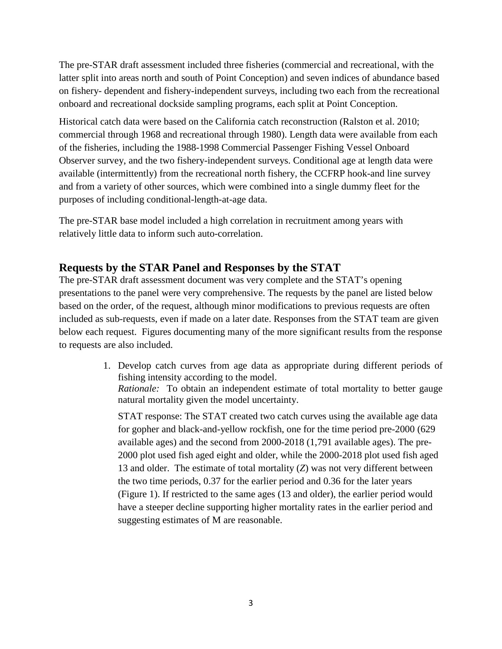The pre-STAR draft assessment included three fisheries (commercial and recreational, with the latter split into areas north and south of Point Conception) and seven indices of abundance based on fishery- dependent and fishery-independent surveys, including two each from the recreational onboard and recreational dockside sampling programs, each split at Point Conception.

Historical catch data were based on the California catch reconstruction (Ralston et al. 2010; commercial through 1968 and recreational through 1980). Length data were available from each of the fisheries, including the 1988-1998 Commercial Passenger Fishing Vessel Onboard Observer survey, and the two fishery-independent surveys. Conditional age at length data were available (intermittently) from the recreational north fishery, the CCFRP hook-and line survey and from a variety of other sources, which were combined into a single dummy fleet for the purposes of including conditional-length-at-age data.

The pre-STAR base model included a high correlation in recruitment among years with relatively little data to inform such auto-correlation.

## **Requests by the STAR Panel and Responses by the STAT**

The pre-STAR draft assessment document was very complete and the STAT's opening presentations to the panel were very comprehensive. The requests by the panel are listed below based on the order, of the request, although minor modifications to previous requests are often included as sub-requests, even if made on a later date. Responses from the STAT team are given below each request. Figures documenting many of the more significant results from the response to requests are also included.

> 1. Develop catch curves from age data as appropriate during different periods of fishing intensity according to the model. *Rationale:* To obtain an independent estimate of total mortality to better gauge natural mortality given the model uncertainty.

STAT response: The STAT created two catch curves using the available age data for gopher and black-and-yellow rockfish, one for the time period pre-2000 (629 available ages) and the second from 2000-2018 (1,791 available ages). The pre-2000 plot used fish aged eight and older, while the 2000-2018 plot used fish aged 13 and older. The estimate of total mortality (*Z*) was not very different between the two time periods, 0.37 for the earlier period and 0.36 for the later years (Figure 1). If restricted to the same ages (13 and older), the earlier period would have a steeper decline supporting higher mortality rates in the earlier period and suggesting estimates of M are reasonable.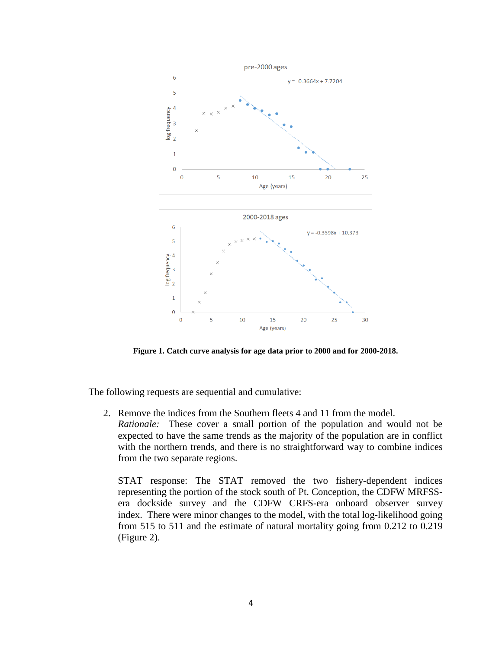

**Figure 1. Catch curve analysis for age data prior to 2000 and for 2000-2018.**

The following requests are sequential and cumulative:

from the two separate regions.

2. Remove the indices from the Southern fleets 4 and 11 from the model. *Rationale:* These cover a small portion of the population and would not be expected to have the same trends as the majority of the population are in conflict with the northern trends, and there is no straightforward way to combine indices

STAT response: The STAT removed the two fishery-dependent indices representing the portion of the stock south of Pt. Conception, the CDFW MRFSSera dockside survey and the CDFW CRFS-era onboard observer survey index. There were minor changes to the model, with the total log-likelihood going from 515 to 511 and the estimate of natural mortality going from 0.212 to 0.219 (Figure 2).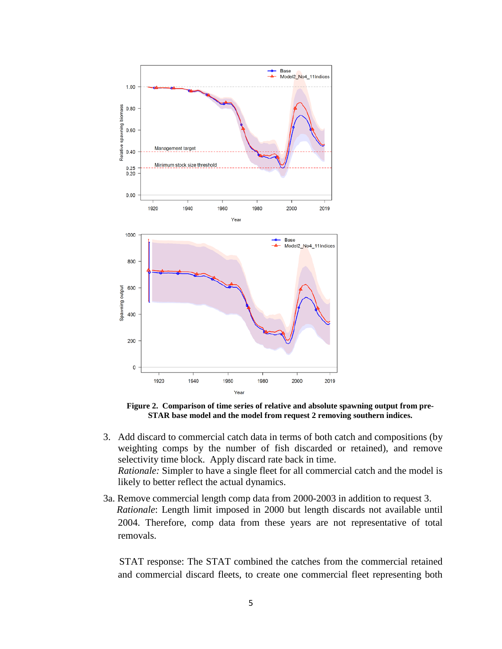

**Figure 2. Comparison of time series of relative and absolute spawning output from pre-STAR base model and the model from request 2 removing southern indices.** 

- 3. Add discard to commercial catch data in terms of both catch and compositions (by weighting comps by the number of fish discarded or retained), and remove selectivity time block. Apply discard rate back in time. *Rationale:* Simpler to have a single fleet for all commercial catch and the model is likely to better reflect the actual dynamics.
- 3a. Remove commercial length comp data from 2000-2003 in addition to request 3. *Rationale*: Length limit imposed in 2000 but length discards not available until 2004. Therefore, comp data from these years are not representative of total removals.

 STAT response: The STAT combined the catches from the commercial retained and commercial discard fleets, to create one commercial fleet representing both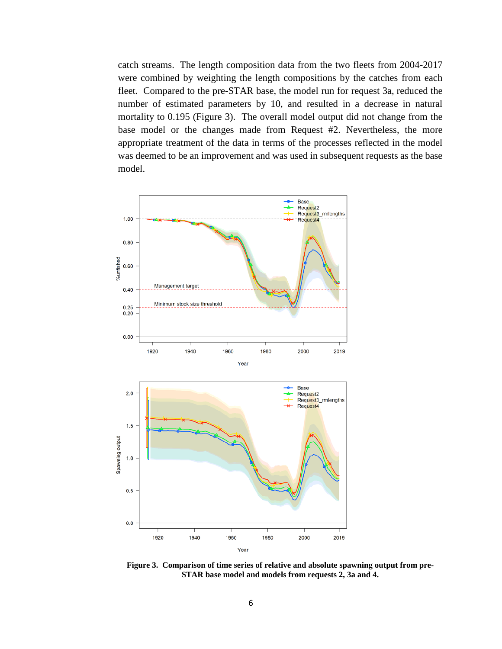catch streams. The length composition data from the two fleets from 2004-2017 were combined by weighting the length compositions by the catches from each fleet. Compared to the pre-STAR base, the model run for request 3a, reduced the number of estimated parameters by 10, and resulted in a decrease in natural mortality to 0.195 (Figure 3). The overall model output did not change from the base model or the changes made from Request #2. Nevertheless, the more appropriate treatment of the data in terms of the processes reflected in the model was deemed to be an improvement and was used in subsequent requests as the base model.



**Figure 3. Comparison of time series of relative and absolute spawning output from pre-STAR base model and models from requests 2, 3a and 4.**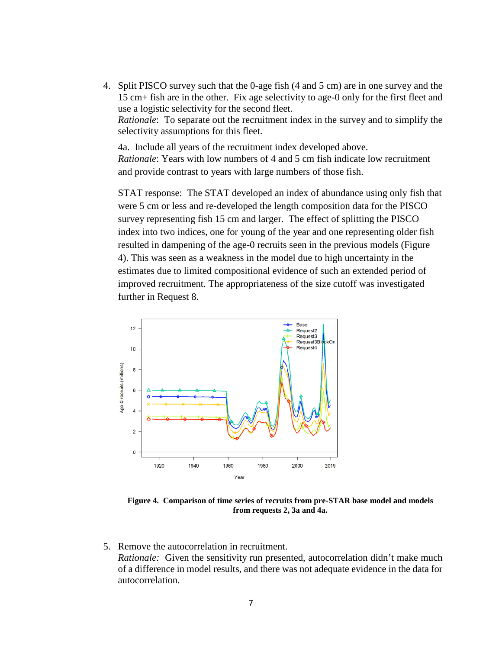4. Split PISCO survey such that the 0-age fish (4 and 5 cm) are in one survey and the 15 cm+ fish are in the other. Fix age selectivity to age-0 only for the first fleet and use a logistic selectivity for the second fleet. *Rationale*: To separate out the recruitment index in the survey and to simplify the selectivity assumptions for this fleet.

4a. Include all years of the recruitment index developed above. *Rationale*: Years with low numbers of 4 and 5 cm fish indicate low recruitment and provide contrast to years with large numbers of those fish.

STAT response: The STAT developed an index of abundance using only fish that were 5 cm or less and re-developed the length composition data for the PISCO survey representing fish 15 cm and larger. The effect of splitting the PISCO index into two indices, one for young of the year and one representing older fish resulted in dampening of the age-0 recruits seen in the previous models (Figure 4). This was seen as a weakness in the model due to high uncertainty in the estimates due to limited compositional evidence of such an extended period of improved recruitment. The appropriateness of the size cutoff was investigated further in Request 8.



**Figure 4. Comparison of time series of recruits from pre-STAR base model and models from requests 2, 3a and 4a.** 

5. Remove the autocorrelation in recruitment. *Rationale:* Given the sensitivity run presented, autocorrelation didn't make much of a difference in model results, and there was not adequate evidence in the data for autocorrelation.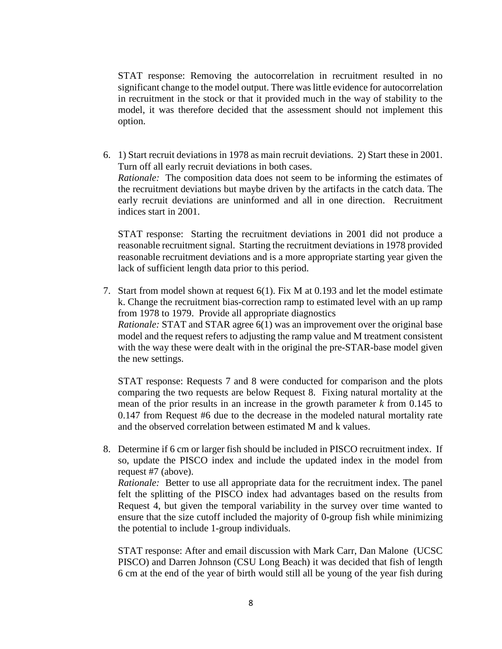STAT response: Removing the autocorrelation in recruitment resulted in no significant change to the model output. There was little evidence for autocorrelation in recruitment in the stock or that it provided much in the way of stability to the model, it was therefore decided that the assessment should not implement this option.

6. 1) Start recruit deviations in 1978 as main recruit deviations. 2) Start these in 2001. Turn off all early recruit deviations in both cases. *Rationale:* The composition data does not seem to be informing the estimates of the recruitment deviations but maybe driven by the artifacts in the catch data. The early recruit deviations are uninformed and all in one direction. Recruitment indices start in 2001.

STAT response: Starting the recruitment deviations in 2001 did not produce a reasonable recruitment signal. Starting the recruitment deviations in 1978 provided reasonable recruitment deviations and is a more appropriate starting year given the lack of sufficient length data prior to this period.

7. Start from model shown at request 6(1). Fix M at 0.193 and let the model estimate k. Change the recruitment bias-correction ramp to estimated level with an up ramp from 1978 to 1979. Provide all appropriate diagnostics *Rationale:* STAT and STAR agree 6(1) was an improvement over the original base model and the request refers to adjusting the ramp value and M treatment consistent with the way these were dealt with in the original the pre-STAR-base model given the new settings.

STAT response: Requests 7 and 8 were conducted for comparison and the plots comparing the two requests are below Request 8. Fixing natural mortality at the mean of the prior results in an increase in the growth parameter *k* from 0.145 to 0.147 from Request #6 due to the decrease in the modeled natural mortality rate and the observed correlation between estimated M and k values.

8. Determine if 6 cm or larger fish should be included in PISCO recruitment index. If so, update the PISCO index and include the updated index in the model from request #7 (above). *Rationale:* Better to use all appropriate data for the recruitment index. The panel felt the splitting of the PISCO index had advantages based on the results from Request 4, but given the temporal variability in the survey over time wanted to ensure that the size cutoff included the majority of 0-group fish while minimizing the potential to include 1-group individuals.

STAT response: After and email discussion with Mark Carr, Dan Malone (UCSC PISCO) and Darren Johnson (CSU Long Beach) it was decided that fish of length 6 cm at the end of the year of birth would still all be young of the year fish during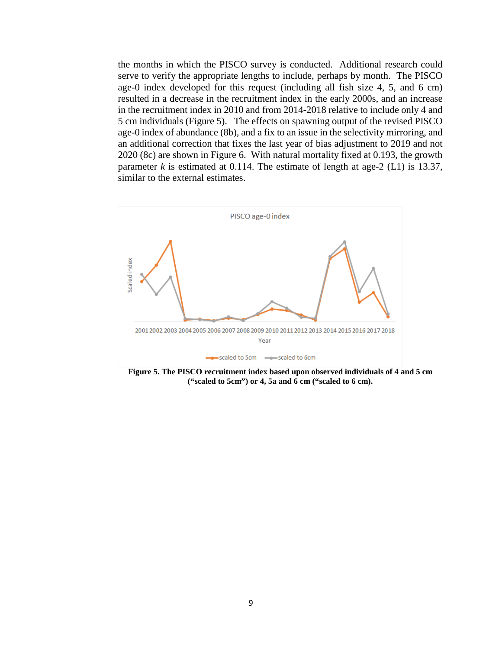the months in which the PISCO survey is conducted. Additional research could serve to verify the appropriate lengths to include, perhaps by month. The PISCO age-0 index developed for this request (including all fish size 4, 5, and 6 cm) resulted in a decrease in the recruitment index in the early 2000s, and an increase in the recruitment index in 2010 and from 2014-2018 relative to include only 4 and 5 cm individuals (Figure 5). The effects on spawning output of the revised PISCO age-0 index of abundance (8b), and a fix to an issue in the selectivity mirroring, and an additional correction that fixes the last year of bias adjustment to 2019 and not 2020 (8c) are shown in Figure 6. With natural mortality fixed at 0.193, the growth parameter  $k$  is estimated at 0.114. The estimate of length at age-2 (L1) is 13.37, similar to the external estimates.



**Figure 5. The PISCO recruitment index based upon observed individuals of 4 and 5 cm ("scaled to 5cm") or 4, 5a and 6 cm ("scaled to 6 cm).**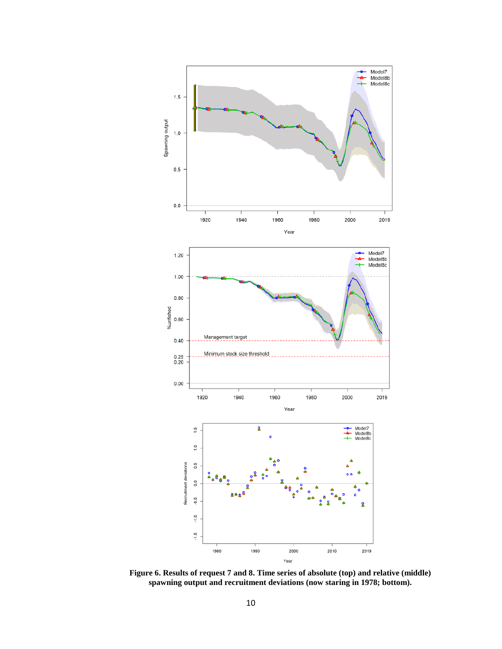

**Figure 6. Results of request 7 and 8. Time series of absolute (top) and relative (middle) spawning output and recruitment deviations (now staring in 1978; bottom).**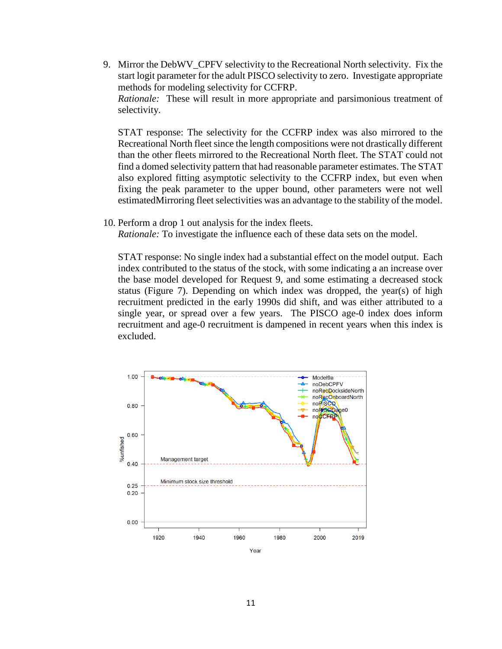9. Mirror the DebWV\_CPFV selectivity to the Recreational North selectivity. Fix the start logit parameter for the adult PISCO selectivity to zero. Investigate appropriate methods for modeling selectivity for CCFRP. *Rationale:* These will result in more appropriate and parsimonious treatment of selectivity.

STAT response: The selectivity for the CCFRP index was also mirrored to the Recreational North fleet since the length compositions were not drastically different than the other fleets mirrored to the Recreational North fleet. The STAT could not find a domed selectivity pattern that had reasonable parameter estimates. The STAT also explored fitting asymptotic selectivity to the CCFRP index, but even when fixing the peak parameter to the upper bound, other parameters were not well estimatedMirroring fleet selectivities was an advantage to the stability of the model.

10. Perform a drop 1 out analysis for the index fleets.

*Rationale:* To investigate the influence each of these data sets on the model.

STAT response: No single index had a substantial effect on the model output. Each index contributed to the status of the stock, with some indicating a an increase over the base model developed for Request 9, and some estimating a decreased stock status (Figure 7). Depending on which index was dropped, the year(s) of high recruitment predicted in the early 1990s did shift, and was either attributed to a single year, or spread over a few years. The PISCO age-0 index does inform recruitment and age-0 recruitment is dampened in recent years when this index is excluded.

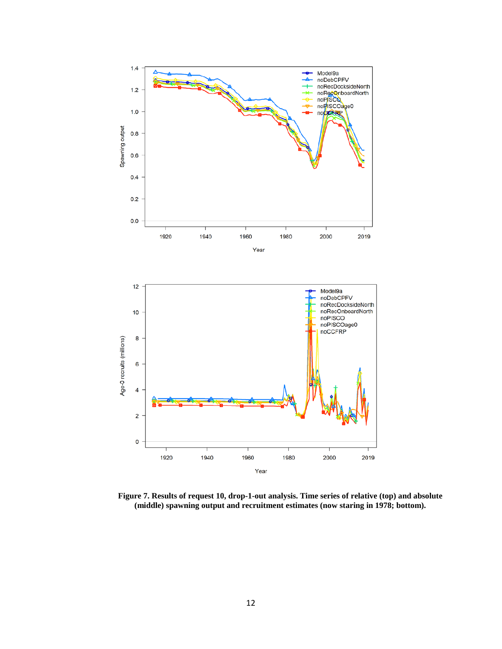

**Figure 7. Results of request 10, drop-1-out analysis. Time series of relative (top) and absolute (middle) spawning output and recruitment estimates (now staring in 1978; bottom).**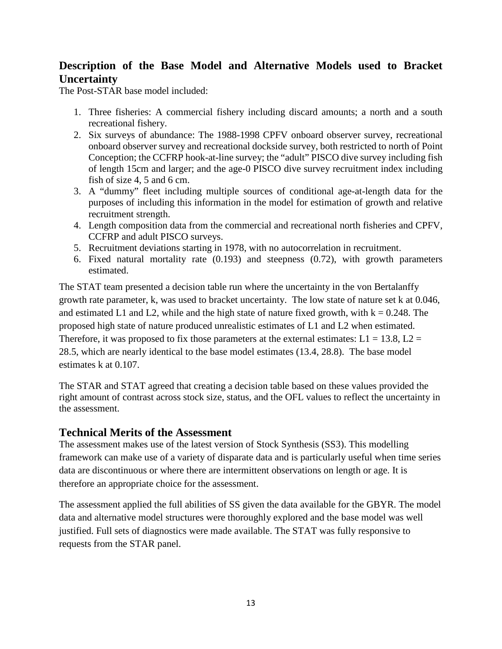# **Description of the Base Model and Alternative Models used to Bracket Uncertainty**

The Post-STAR base model included:

- 1. Three fisheries: A commercial fishery including discard amounts; a north and a south recreational fishery.
- 2. Six surveys of abundance: The 1988-1998 CPFV onboard observer survey, recreational onboard observer survey and recreational dockside survey, both restricted to north of Point Conception; the CCFRP hook-at-line survey; the "adult" PISCO dive survey including fish of length 15cm and larger; and the age-0 PISCO dive survey recruitment index including fish of size 4, 5 and 6 cm.
- 3. A "dummy" fleet including multiple sources of conditional age-at-length data for the purposes of including this information in the model for estimation of growth and relative recruitment strength.
- 4. Length composition data from the commercial and recreational north fisheries and CPFV, CCFRP and adult PISCO surveys.
- 5. Recruitment deviations starting in 1978, with no autocorrelation in recruitment.
- 6. Fixed natural mortality rate (0.193) and steepness (0.72), with growth parameters estimated.

The STAT team presented a decision table run where the uncertainty in the von Bertalanffy growth rate parameter, k, was used to bracket uncertainty. The low state of nature set k at 0.046, and estimated L1 and L2, while and the high state of nature fixed growth, with  $k = 0.248$ . The proposed high state of nature produced unrealistic estimates of L1 and L2 when estimated. Therefore, it was proposed to fix those parameters at the external estimates:  $L1 = 13.8$ ,  $L2 =$ 28.5, which are nearly identical to the base model estimates (13.4, 28.8). The base model estimates k at 0.107.

The STAR and STAT agreed that creating a decision table based on these values provided the right amount of contrast across stock size, status, and the OFL values to reflect the uncertainty in the assessment.

## **Technical Merits of the Assessment**

The assessment makes use of the latest version of Stock Synthesis (SS3). This modelling framework can make use of a variety of disparate data and is particularly useful when time series data are discontinuous or where there are intermittent observations on length or age. It is therefore an appropriate choice for the assessment.

The assessment applied the full abilities of SS given the data available for the GBYR. The model data and alternative model structures were thoroughly explored and the base model was well justified. Full sets of diagnostics were made available. The STAT was fully responsive to requests from the STAR panel.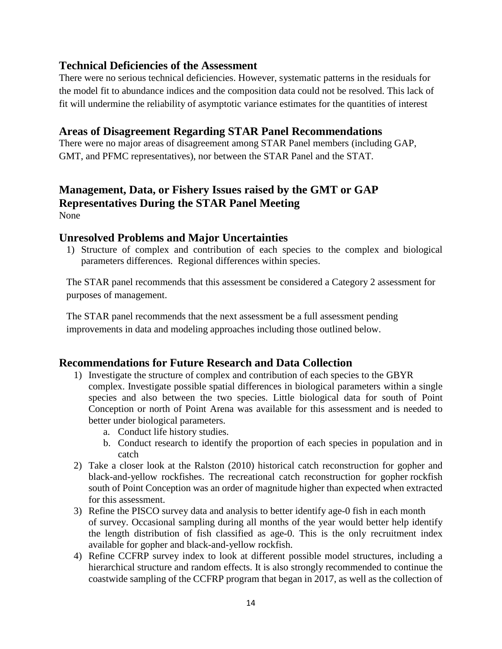## **Technical Deficiencies of the Assessment**

There were no serious technical deficiencies. However, systematic patterns in the residuals for the model fit to abundance indices and the composition data could not be resolved. This lack of fit will undermine the reliability of asymptotic variance estimates for the quantities of interest

## **Areas of Disagreement Regarding STAR Panel Recommendations**

There were no major areas of disagreement among STAR Panel members (including GAP, GMT, and PFMC representatives), nor between the STAR Panel and the STAT.

## **Management, Data, or Fishery Issues raised by the GMT or GAP Representatives During the STAR Panel Meeting** None

## **Unresolved Problems and Major Uncertainties**

1) Structure of complex and contribution of each species to the complex and biological parameters differences. Regional differences within species.

The STAR panel recommends that this assessment be considered a Category 2 assessment for purposes of management.

The STAR panel recommends that the next assessment be a full assessment pending improvements in data and modeling approaches including those outlined below.

## **Recommendations for Future Research and Data Collection**

- 1) Investigate the structure of complex and contribution of each species to the GBYR complex. Investigate possible spatial differences in biological parameters within a single species and also between the two species. Little biological data for south of Point Conception or north of Point Arena was available for this assessment and is needed to better under biological parameters.
	- a. Conduct life history studies.
	- b. Conduct research to identify the proportion of each species in population and in catch
- 2) Take a closer look at the Ralston (2010) historical catch reconstruction for gopher and black-and-yellow rockfishes. The recreational catch reconstruction for gopher rockfish south of Point Conception was an order of magnitude higher than expected when extracted for this assessment.
- 3) Refine the PISCO survey data and analysis to better identify age-0 fish in each month of survey. Occasional sampling during all months of the year would better help identify the length distribution of fish classified as age-0. This is the only recruitment index available for gopher and black-and-yellow rockfish.
- 4) Refine CCFRP survey index to look at different possible model structures, including a hierarchical structure and random effects. It is also strongly recommended to continue the coastwide sampling of the CCFRP program that began in 2017, as well as the collection of